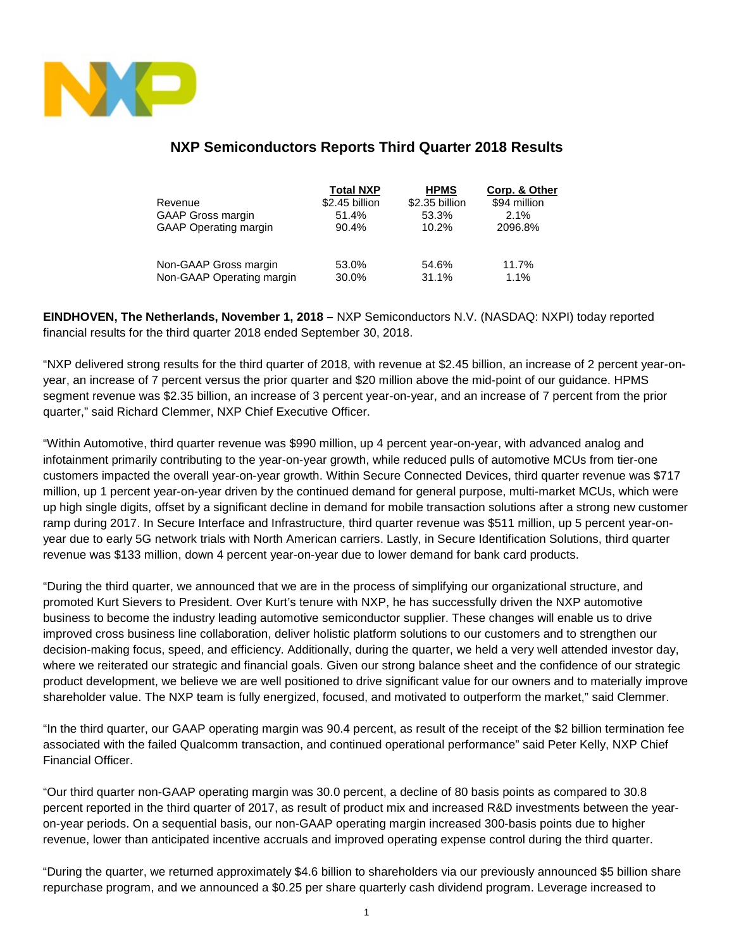

# **NXP Semiconductors Reports Third Quarter 2018 Results**

| Revenue<br><b>GAAP Gross margin</b><br><b>GAAP Operating margin</b> | <b>Total NXP</b><br>\$2.45 billion<br>51.4%<br>90.4% | <b>HPMS</b><br>\$2.35 billion<br>53.3%<br>10.2% | Corp. & Other<br>\$94 million<br>$2.1\%$<br>2096.8% |
|---------------------------------------------------------------------|------------------------------------------------------|-------------------------------------------------|-----------------------------------------------------|
| Non-GAAP Gross margin                                               | 53.0%                                                | 54.6%                                           | 11.7%                                               |
| Non-GAAP Operating margin                                           | 30.0%                                                | 31.1%                                           | 1.1%                                                |

**EINDHOVEN, The Netherlands, November 1, 2018 –** NXP Semiconductors N.V. (NASDAQ: NXPI) today reported financial results for the third quarter 2018 ended September 30, 2018.

"NXP delivered strong results for the third quarter of 2018, with revenue at \$2.45 billion, an increase of 2 percent year-onyear, an increase of 7 percent versus the prior quarter and \$20 million above the mid-point of our guidance. HPMS segment revenue was \$2.35 billion, an increase of 3 percent year-on-year, and an increase of 7 percent from the prior quarter," said Richard Clemmer, NXP Chief Executive Officer.

"Within Automotive, third quarter revenue was \$990 million, up 4 percent year-on-year, with advanced analog and infotainment primarily contributing to the year-on-year growth, while reduced pulls of automotive MCUs from tier-one customers impacted the overall year-on-year growth. Within Secure Connected Devices, third quarter revenue was \$717 million, up 1 percent year-on-year driven by the continued demand for general purpose, multi-market MCUs, which were up high single digits, offset by a significant decline in demand for mobile transaction solutions after a strong new customer ramp during 2017. In Secure Interface and Infrastructure, third quarter revenue was \$511 million, up 5 percent year-onyear due to early 5G network trials with North American carriers. Lastly, in Secure Identification Solutions, third quarter revenue was \$133 million, down 4 percent year-on-year due to lower demand for bank card products.

"During the third quarter, we announced that we are in the process of simplifying our organizational structure, and promoted Kurt Sievers to President. Over Kurt's tenure with NXP, he has successfully driven the NXP automotive business to become the industry leading automotive semiconductor supplier. These changes will enable us to drive improved cross business line collaboration, deliver holistic platform solutions to our customers and to strengthen our decision-making focus, speed, and efficiency. Additionally, during the quarter, we held a very well attended investor day, where we reiterated our strategic and financial goals. Given our strong balance sheet and the confidence of our strategic product development, we believe we are well positioned to drive significant value for our owners and to materially improve shareholder value. The NXP team is fully energized, focused, and motivated to outperform the market," said Clemmer.

"In the third quarter, our GAAP operating margin was 90.4 percent, as result of the receipt of the \$2 billion termination fee associated with the failed Qualcomm transaction, and continued operational performance" said Peter Kelly, NXP Chief Financial Officer.

"Our third quarter non-GAAP operating margin was 30.0 percent, a decline of 80 basis points as compared to 30.8 percent reported in the third quarter of 2017, as result of product mix and increased R&D investments between the yearon-year periods. On a sequential basis, our non-GAAP operating margin increased 300-basis points due to higher revenue, lower than anticipated incentive accruals and improved operating expense control during the third quarter.

"During the quarter, we returned approximately \$4.6 billion to shareholders via our previously announced \$5 billion share repurchase program, and we announced a \$0.25 per share quarterly cash dividend program. Leverage increased to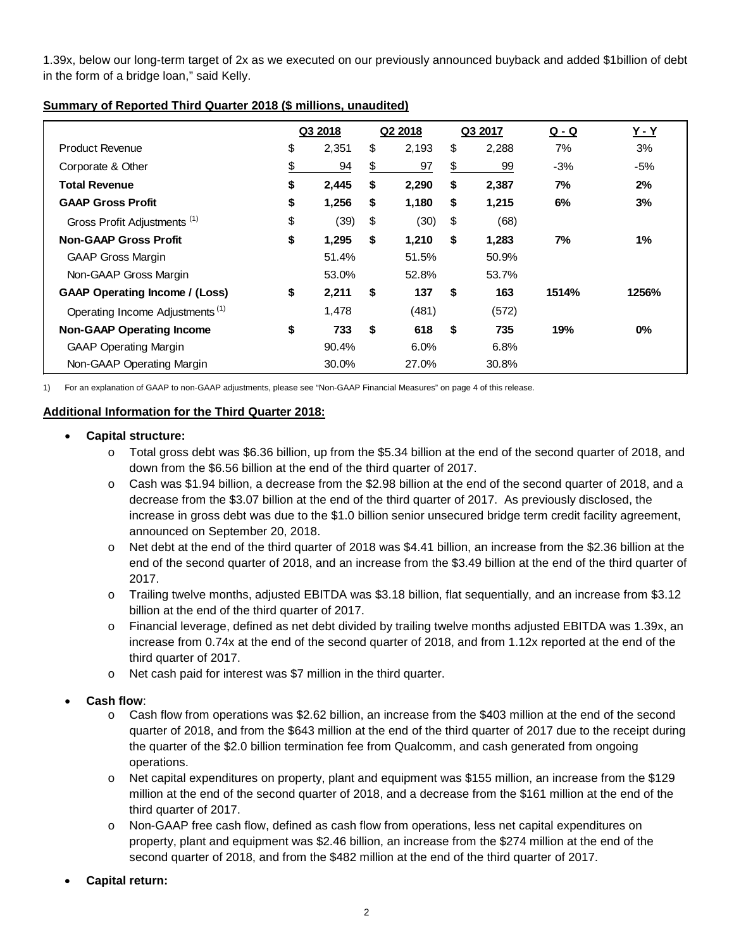1.39x, below our long-term target of 2x as we executed on our previously announced buyback and added \$1billion of debt in the form of a bridge loan," said Kelly.

|                                             | Q3 2018     |    | Q2 2018 |    | Q3 2017 | <u>Q - Q</u> | <u>Y - Y</u> |
|---------------------------------------------|-------------|----|---------|----|---------|--------------|--------------|
| <b>Product Revenue</b>                      | \$<br>2,351 | \$ | 2,193   | \$ | 2,288   | 7%           | 3%           |
| Corporate & Other                           | \$<br>94    | \$ | 97      | \$ | 99      | $-3%$        | -5%          |
| <b>Total Revenue</b>                        | \$<br>2,445 | \$ | 2,290   | \$ | 2,387   | 7%           | 2%           |
| <b>GAAP Gross Profit</b>                    | \$<br>1,256 | \$ | 1,180   | \$ | 1,215   | 6%           | 3%           |
| Gross Profit Adjustments <sup>(1)</sup>     | \$<br>(39)  | \$ | (30)    | \$ | (68)    |              |              |
| <b>Non-GAAP Gross Profit</b>                | \$<br>1,295 | \$ | 1,210   | \$ | 1,283   | 7%           | 1%           |
| <b>GAAP Gross Margin</b>                    | 51.4%       |    | 51.5%   |    | 50.9%   |              |              |
| Non-GAAP Gross Margin                       | 53.0%       |    | 52.8%   |    | 53.7%   |              |              |
| <b>GAAP Operating Income / (Loss)</b>       | \$<br>2,211 | \$ | 137     | \$ | 163     | 1514%        | 1256%        |
| Operating Income Adjustments <sup>(1)</sup> | 1,478       |    | (481)   |    | (572)   |              |              |
| <b>Non-GAAP Operating Income</b>            | \$<br>733   | \$ | 618     | \$ | 735     | 19%          | $0\%$        |
| <b>GAAP Operating Margin</b>                | 90.4%       |    | 6.0%    |    | 6.8%    |              |              |
| Non-GAAP Operating Margin                   | 30.0%       |    | 27.0%   |    | 30.8%   |              |              |

# **Summary of Reported Third Quarter 2018 (\$ millions, unaudited)**

1) For an explanation of GAAP to non-GAAP adjustments, please see "Non-GAAP Financial Measures" on page 4 of this release.

# **Additional Information for the Third Quarter 2018:**

# • **Capital structure:**

- o Total gross debt was \$6.36 billion, up from the \$5.34 billion at the end of the second quarter of 2018, and down from the \$6.56 billion at the end of the third quarter of 2017.
- o Cash was \$1.94 billion, a decrease from the \$2.98 billion at the end of the second quarter of 2018, and a decrease from the \$3.07 billion at the end of the third quarter of 2017. As previously disclosed, the increase in gross debt was due to the \$1.0 billion senior unsecured bridge term credit facility agreement, announced on September 20, 2018.
- o Net debt at the end of the third quarter of 2018 was \$4.41 billion, an increase from the \$2.36 billion at the end of the second quarter of 2018, and an increase from the \$3.49 billion at the end of the third quarter of 2017.
- o Trailing twelve months, adjusted EBITDA was \$3.18 billion, flat sequentially, and an increase from \$3.12 billion at the end of the third quarter of 2017.
- o Financial leverage, defined as net debt divided by trailing twelve months adjusted EBITDA was 1.39x, an increase from 0.74x at the end of the second quarter of 2018, and from 1.12x reported at the end of the third quarter of 2017.
- o Net cash paid for interest was \$7 million in the third quarter.

# • **Cash flow**:

- o Cash flow from operations was \$2.62 billion, an increase from the \$403 million at the end of the second quarter of 2018, and from the \$643 million at the end of the third quarter of 2017 due to the receipt during the quarter of the \$2.0 billion termination fee from Qualcomm, and cash generated from ongoing operations.
- o Net capital expenditures on property, plant and equipment was \$155 million, an increase from the \$129 million at the end of the second quarter of 2018, and a decrease from the \$161 million at the end of the third quarter of 2017.
- o Non-GAAP free cash flow, defined as cash flow from operations, less net capital expenditures on property, plant and equipment was \$2.46 billion, an increase from the \$274 million at the end of the second quarter of 2018, and from the \$482 million at the end of the third quarter of 2017.
- **Capital return:**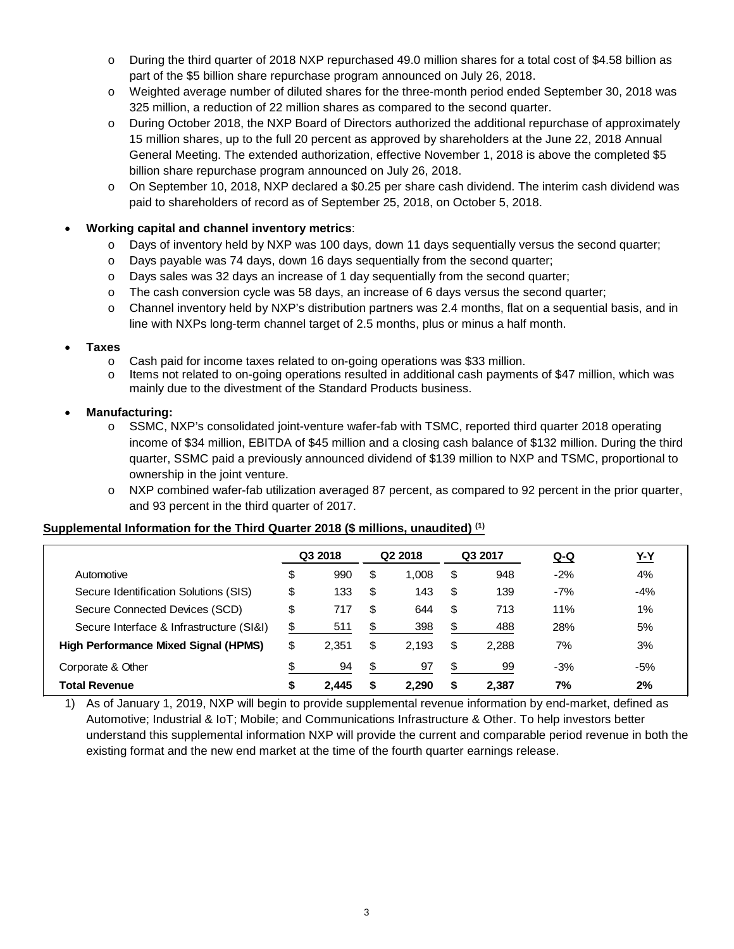- o During the third quarter of 2018 NXP repurchased 49.0 million shares for a total cost of \$4.58 billion as part of the \$5 billion share repurchase program announced on July 26, 2018.
- o Weighted average number of diluted shares for the three-month period ended September 30, 2018 was 325 million, a reduction of 22 million shares as compared to the second quarter.
- o During October 2018, the NXP Board of Directors authorized the additional repurchase of approximately 15 million shares, up to the full 20 percent as approved by shareholders at the June 22, 2018 Annual General Meeting. The extended authorization, effective November 1, 2018 is above the completed \$5 billion share repurchase program announced on July 26, 2018.
- o On September 10, 2018, NXP declared a \$0.25 per share cash dividend. The interim cash dividend was paid to shareholders of record as of September 25, 2018, on October 5, 2018.

# • **Working capital and channel inventory metrics**:

- o Days of inventory held by NXP was 100 days, down 11 days sequentially versus the second quarter;
- o Days payable was 74 days, down 16 days sequentially from the second quarter;
- o Days sales was 32 days an increase of 1 day sequentially from the second quarter;
- o The cash conversion cycle was 58 days, an increase of 6 days versus the second quarter;
- o Channel inventory held by NXP's distribution partners was 2.4 months, flat on a sequential basis, and in line with NXPs long-term channel target of 2.5 months, plus or minus a half month.

# • **Taxes**

- $\circ$  Cash paid for income taxes related to on-going operations was \$33 million.
- o Items not related to on-going operations resulted in additional cash payments of \$47 million, which was mainly due to the divestment of the Standard Products business.
- **Manufacturing:**
	- o SSMC, NXP's consolidated joint-venture wafer-fab with TSMC, reported third quarter 2018 operating income of \$34 million, EBITDA of \$45 million and a closing cash balance of \$132 million. During the third quarter, SSMC paid a previously announced dividend of \$139 million to NXP and TSMC, proportional to ownership in the joint venture.
	- o NXP combined wafer-fab utilization averaged 87 percent, as compared to 92 percent in the prior quarter, and 93 percent in the third quarter of 2017.

# **Supplemental Information for the Third Quarter 2018 (\$ millions, unaudited) (1)**

|                                             | Q3 2018     |    | Q <sub>2</sub> 2018 |    | Q3 2017 | <u>Q-Q</u> | <u>Y-Y</u> |
|---------------------------------------------|-------------|----|---------------------|----|---------|------------|------------|
| Automotive                                  | \$<br>990   | \$ | 1,008               | \$ | 948     | $-2%$      | 4%         |
| Secure Identification Solutions (SIS)       | \$<br>133   | \$ | 143                 | \$ | 139     | $-7%$      | $-4%$      |
| Secure Connected Devices (SCD)              | \$<br>717   | \$ | 644                 | \$ | 713     | 11%        | 1%         |
| Secure Interface & Infrastructure (SI&I)    | \$<br>511   | \$ | 398                 | \$ | 488     | 28%        | 5%         |
| <b>High Performance Mixed Signal (HPMS)</b> | \$<br>2.351 | \$ | 2,193               | \$ | 2,288   | 7%         | 3%         |
| Corporate & Other                           | 94          | \$ | 97                  | S  | 99      | $-3%$      | $-5%$      |
| <b>Total Revenue</b>                        | \$<br>2.445 | S  | 2.290               |    | 2.387   | 7%         | 2%         |

1) As of January 1, 2019, NXP will begin to provide supplemental revenue information by end-market, defined as Automotive; Industrial & IoT; Mobile; and Communications Infrastructure & Other. To help investors better understand this supplemental information NXP will provide the current and comparable period revenue in both the existing format and the new end market at the time of the fourth quarter earnings release.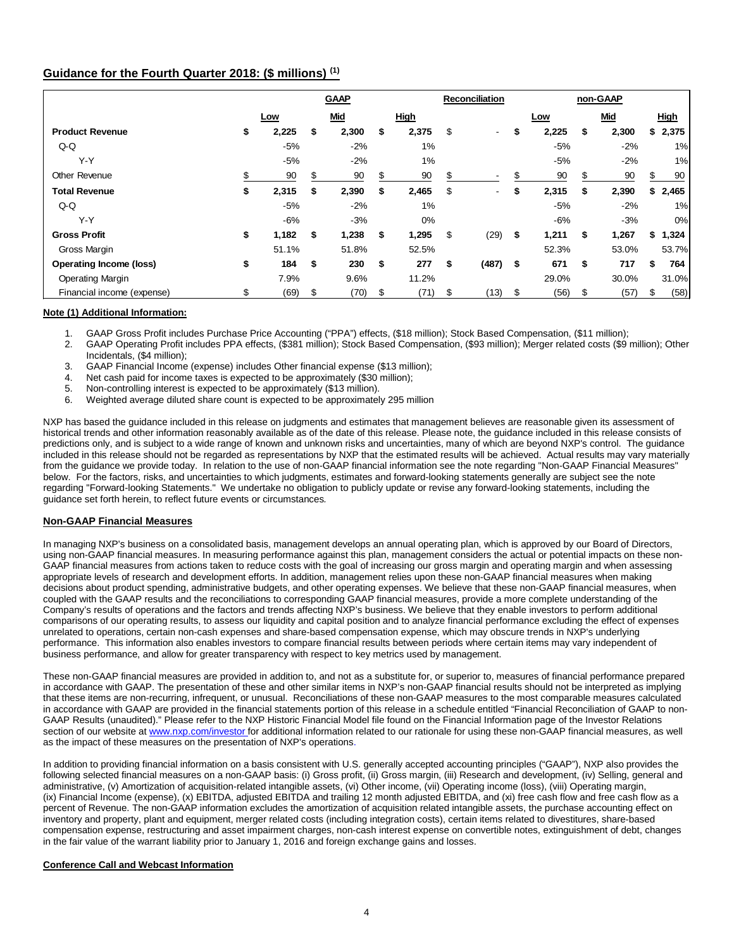# **Guidance for the Fourth Quarter 2018: (\$ millions) (1)**

|                            |             | <b>GAAP</b> |    |       |     | <b>Reconciliation</b> |      |       |    | non-GAAP   |     |             |
|----------------------------|-------------|-------------|----|-------|-----|-----------------------|------|-------|----|------------|-----|-------------|
|                            | Low         | <b>Mid</b>  |    | High  |     |                       |      | Low   |    | <b>Mid</b> |     | <b>High</b> |
| <b>Product Revenue</b>     | \$<br>2,225 | \$<br>2,300 | \$ | 2,375 | \$  | ٠                     | \$   | 2,225 | \$ | 2,300      |     | \$2,375     |
| Q-Q                        | $-5%$       | $-2%$       |    | $1\%$ |     |                       |      | $-5%$ |    | $-2%$      |     | 1%          |
| Y-Y                        | $-5%$       | $-2%$       |    | 1%    |     |                       |      | $-5%$ |    | $-2%$      |     | 1%          |
| <b>Other Revenue</b>       | 90          | \$<br>90    | \$ | 90    | \$. | ٠                     | S    | 90    | S  | 90         | \$. | 90          |
| <b>Total Revenue</b>       | \$<br>2,315 | \$<br>2,390 | \$ | 2,465 | S   | ٠                     | \$   | 2,315 | \$ | 2,390      |     | \$2,465     |
| $Q-Q$                      | $-5%$       | $-2%$       |    | 1%    |     |                       |      | $-5%$ |    | $-2%$      |     | 1%          |
| Y-Y                        | $-6%$       | $-3%$       |    | 0%    |     |                       |      | $-6%$ |    | $-3%$      |     | 0%          |
| <b>Gross Profit</b>        | \$<br>1,182 | \$<br>1,238 | \$ | 1,295 | \$  | (29)                  | \$   | 1,211 | \$ | 1,267      |     | \$1,324     |
| Gross Margin               | 51.1%       | 51.8%       |    | 52.5% |     |                       |      | 52.3% |    | 53.0%      |     | 53.7%       |
| Operating Income (loss)    | \$<br>184   | \$<br>230   | \$ | 277   | \$  | (487)                 | - \$ | 671   | \$ | 717        | \$  | 764         |
| <b>Operating Margin</b>    | 7.9%        | 9.6%        |    | 11.2% |     |                       |      | 29.0% |    | 30.0%      |     | 31.0%       |
| Financial income (expense) | \$<br>(69)  | \$<br>(70)  | S  | (71)  | \$  | (13)                  | S    | (56)  | \$ | (57)       | \$  | (58)        |

#### **Note (1) Additional Information:**

- 1. GAAP Gross Profit includes Purchase Price Accounting ("PPA") effects, (\$18 million); Stock Based Compensation, (\$11 million);
- 2. GAAP Operating Profit includes PPA effects, (\$381 million); Stock Based Compensation, (\$93 million); Merger related costs (\$9 million); Other Incidentals, (\$4 million);
- 3. GAAP Financial Income (expense) includes Other financial expense (\$13 million);
- 4. Net cash paid for income taxes is expected to be approximately (\$30 million);<br>5. Non-controlling interest is expected to be approximately (\$13 million).
- Non-controlling interest is expected to be approximately (\$13 million).
- 6. Weighted average diluted share count is expected to be approximately 295 million

NXP has based the guidance included in this release on judgments and estimates that management believes are reasonable given its assessment of historical trends and other information reasonably available as of the date of this release. Please note, the guidance included in this release consists of predictions only, and is subject to a wide range of known and unknown risks and uncertainties, many of which are beyond NXP's control. The guidance included in this release should not be regarded as representations by NXP that the estimated results will be achieved. Actual results may vary materially from the guidance we provide today. In relation to the use of non-GAAP financial information see the note regarding "Non-GAAP Financial Measures" below. For the factors, risks, and uncertainties to which judgments, estimates and forward-looking statements generally are subject see the note regarding "Forward-looking Statements." We undertake no obligation to publicly update or revise any forward-looking statements, including the guidance set forth herein, to reflect future events or circumstances*.* 

#### **Non-GAAP Financial Measures**

In managing NXP's business on a consolidated basis, management develops an annual operating plan, which is approved by our Board of Directors, using non-GAAP financial measures. In measuring performance against this plan, management considers the actual or potential impacts on these non-GAAP financial measures from actions taken to reduce costs with the goal of increasing our gross margin and operating margin and when assessing appropriate levels of research and development efforts. In addition, management relies upon these non-GAAP financial measures when making decisions about product spending, administrative budgets, and other operating expenses. We believe that these non-GAAP financial measures, when coupled with the GAAP results and the reconciliations to corresponding GAAP financial measures, provide a more complete understanding of the Company's results of operations and the factors and trends affecting NXP's business. We believe that they enable investors to perform additional comparisons of our operating results, to assess our liquidity and capital position and to analyze financial performance excluding the effect of expenses unrelated to operations, certain non-cash expenses and share-based compensation expense, which may obscure trends in NXP's underlying performance. This information also enables investors to compare financial results between periods where certain items may vary independent of business performance, and allow for greater transparency with respect to key metrics used by management.

These non-GAAP financial measures are provided in addition to, and not as a substitute for, or superior to, measures of financial performance prepared in accordance with GAAP. The presentation of these and other similar items in NXP's non-GAAP financial results should not be interpreted as implying that these items are non-recurring, infrequent, or unusual. Reconciliations of these non-GAAP measures to the most comparable measures calculated in accordance with GAAP are provided in the financial statements portion of this release in a schedule entitled "Financial Reconciliation of GAAP to non-GAAP Results (unaudited)." Please refer to the NXP Historic Financial Model file found on the Financial Information page of the Investor Relations section of our website a[t www.nxp.com/investor](http://www.nxp.com/investor) for additional information related to our rationale for using these non-GAAP financial measures, as well as the impact of these measures on the presentation of NXP's operations.

In addition to providing financial information on a basis consistent with U.S. generally accepted accounting principles ("GAAP"), NXP also provides the following selected financial measures on a non-GAAP basis: (i) Gross profit, (ii) Gross margin, (iii) Research and development, (iv) Selling, general and administrative, (v) Amortization of acquisition-related intangible assets, (vi) Other income, (vii) Operating income (loss), (viii) Operating margin, (ix) Financial Income (expense), (x) EBITDA, adjusted EBITDA and trailing 12 month adjusted EBITDA, and (xi) free cash flow and free cash flow as a percent of Revenue. The non-GAAP information excludes the amortization of acquisition related intangible assets, the purchase accounting effect on inventory and property, plant and equipment, merger related costs (including integration costs), certain items related to divestitures, share-based compensation expense, restructuring and asset impairment charges, non-cash interest expense on convertible notes, extinguishment of debt, changes in the fair value of the warrant liability prior to January 1, 2016 and foreign exchange gains and losses.

#### **Conference Call and Webcast Information**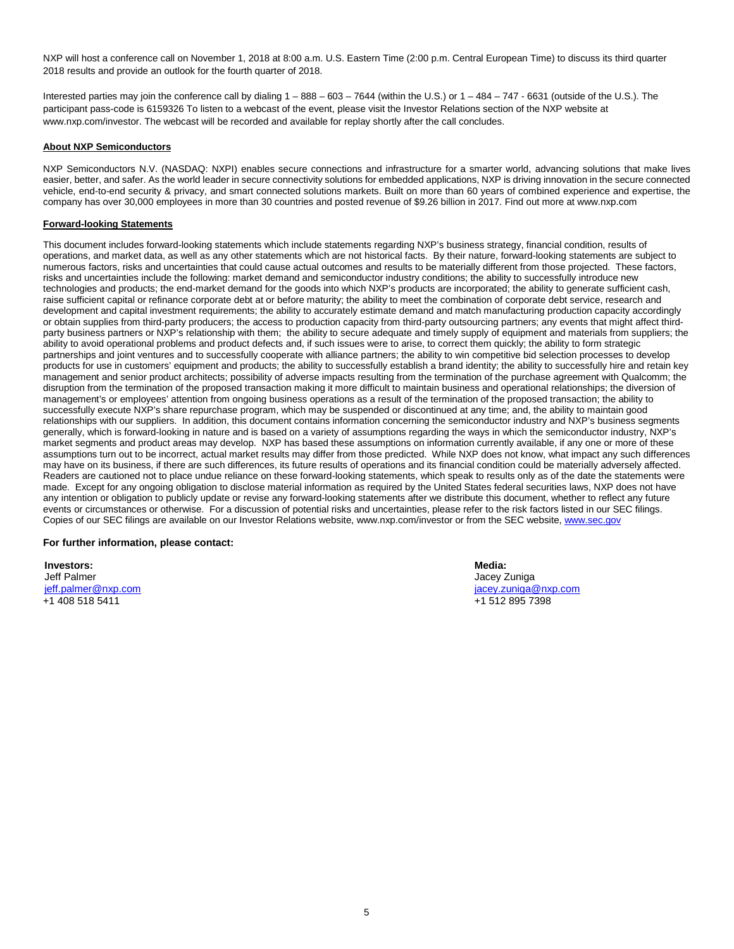NXP will host a conference call on November 1, 2018 at 8:00 a.m. U.S. Eastern Time (2:00 p.m. Central European Time) to discuss its third quarter 2018 results and provide an outlook for the fourth quarter of 2018.

Interested parties may join the conference call by dialing 1 – 888 – 603 – 7644 (within the U.S.) or 1 – 484 – 747 - 6631 (outside of the U.S.). The participant pass-code is 6159326 To listen to a webcast of the event, please visit the Investor Relations section of the NXP website at www.nxp.com/investor. The webcast will be recorded and available for replay shortly after the call concludes.

#### **About NXP Semiconductors**

NXP Semiconductors N.V. (NASDAQ: NXPI) enables secure connections and infrastructure for a smarter world, advancing solutions that make lives easier, better, and safer. As the world leader in secure connectivity solutions for embedded applications, NXP is driving innovation in the secure connected vehicle, end-to-end security & privacy, and smart connected solutions markets. Built on more than 60 years of combined experience and expertise, the company has over 30,000 employees in more than 30 countries and posted revenue of \$9.26 billion in 2017. Find out more at www.nxp.com

#### **Forward-looking Statements**

This document includes forward-looking statements which include statements regarding NXP's business strategy, financial condition, results of operations, and market data, as well as any other statements which are not historical facts. By their nature, forward-looking statements are subject to numerous factors, risks and uncertainties that could cause actual outcomes and results to be materially different from those projected. These factors, risks and uncertainties include the following: market demand and semiconductor industry conditions; the ability to successfully introduce new technologies and products; the end-market demand for the goods into which NXP's products are incorporated; the ability to generate sufficient cash, raise sufficient capital or refinance corporate debt at or before maturity; the ability to meet the combination of corporate debt service, research and development and capital investment requirements; the ability to accurately estimate demand and match manufacturing production capacity accordingly or obtain supplies from third-party producers; the access to production capacity from third-party outsourcing partners; any events that might affect thirdparty business partners or NXP's relationship with them; the ability to secure adequate and timely supply of equipment and materials from suppliers; the ability to avoid operational problems and product defects and, if such issues were to arise, to correct them quickly; the ability to form strategic partnerships and joint ventures and to successfully cooperate with alliance partners; the ability to win competitive bid selection processes to develop products for use in customers' equipment and products; the ability to successfully establish a brand identity; the ability to successfully hire and retain key management and senior product architects; possibility of adverse impacts resulting from the termination of the purchase agreement with Qualcomm; the disruption from the termination of the proposed transaction making it more difficult to maintain business and operational relationships; the diversion of management's or employees' attention from ongoing business operations as a result of the termination of the proposed transaction; the ability to successfully execute NXP's share repurchase program, which may be suspended or discontinued at any time; and, the ability to maintain good relationships with our suppliers. In addition, this document contains information concerning the semiconductor industry and NXP's business segments generally, which is forward-looking in nature and is based on a variety of assumptions regarding the ways in which the semiconductor industry, NXP's market segments and product areas may develop. NXP has based these assumptions on information currently available, if any one or more of these assumptions turn out to be incorrect, actual market results may differ from those predicted. While NXP does not know, what impact any such differences may have on its business, if there are such differences, its future results of operations and its financial condition could be materially adversely affected. Readers are cautioned not to place undue reliance on these forward-looking statements, which speak to results only as of the date the statements were made. Except for any ongoing obligation to disclose material information as required by the United States federal securities laws, NXP does not have any intention or obligation to publicly update or revise any forward-looking statements after we distribute this document, whether to reflect any future events or circumstances or otherwise. For a discussion of potential risks and uncertainties, please refer to the risk factors listed in our SEC filings. Copies of our SEC filings are available on our Investor Relations website, www.nxp.com/investor or from the SEC website, [www.sec.gov](http://www.sec.gov/)

#### **For further information, please contact:**

**Investors: Media:** Jeff Palmer Jacey Zuniga  $+1$  408 518 5411

 $jaccey.zuniga@nxp.com$ <br>+1 512 895 7398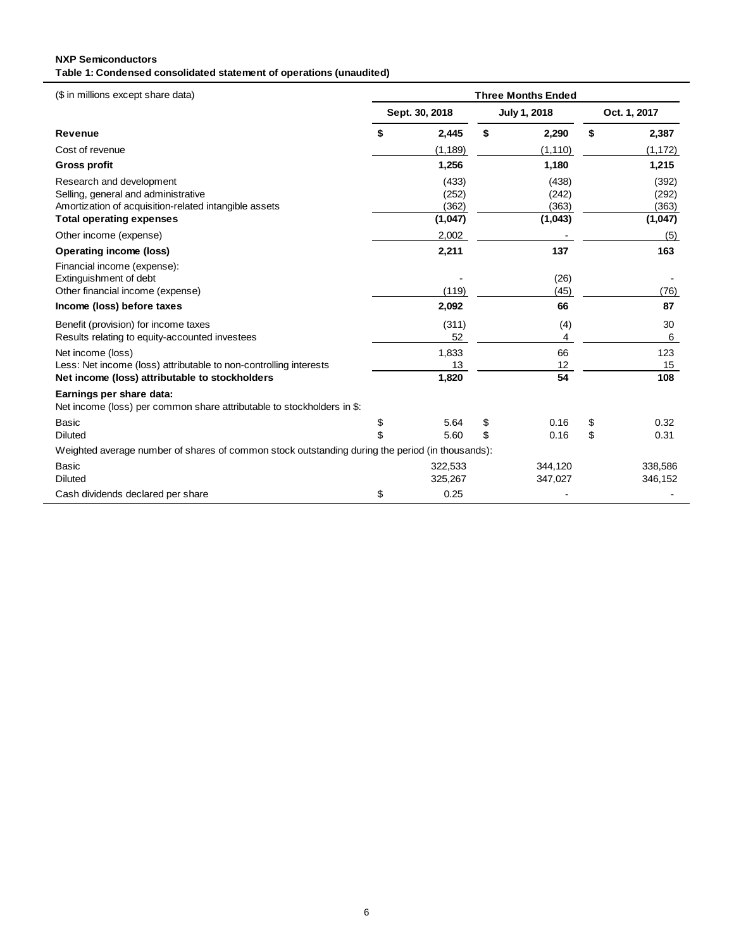# **NXP Semiconductors Table 1: Condensed consolidated statement of operations (unaudited)**

| (\$ in millions except share data)                                                                                                                          | <b>Three Months Ended</b> |                                    |          |                                    |              |                                    |  |  |  |
|-------------------------------------------------------------------------------------------------------------------------------------------------------------|---------------------------|------------------------------------|----------|------------------------------------|--------------|------------------------------------|--|--|--|
|                                                                                                                                                             |                           | Sept. 30, 2018                     |          | July 1, 2018                       | Oct. 1, 2017 |                                    |  |  |  |
| <b>Revenue</b>                                                                                                                                              | S                         | 2,445                              | \$       | 2,290                              | \$           | 2,387                              |  |  |  |
| Cost of revenue                                                                                                                                             |                           | (1, 189)                           |          | (1, 110)                           |              | (1, 172)                           |  |  |  |
| <b>Gross profit</b>                                                                                                                                         |                           | 1,256                              |          | 1,180                              |              | 1,215                              |  |  |  |
| Research and development<br>Selling, general and administrative<br>Amortization of acquisition-related intangible assets<br><b>Total operating expenses</b> |                           | (433)<br>(252)<br>(362)<br>(1,047) |          | (438)<br>(242)<br>(363)<br>(1,043) |              | (392)<br>(292)<br>(363)<br>(1,047) |  |  |  |
| Other income (expense)                                                                                                                                      |                           | 2,002                              |          |                                    |              | (5)                                |  |  |  |
| <b>Operating income (loss)</b>                                                                                                                              |                           | 2,211                              |          | 137                                |              | 163                                |  |  |  |
| Financial income (expense):<br>Extinguishment of debt<br>Other financial income (expense)                                                                   |                           | (119)                              |          | (26)<br>(45)                       |              | (76)                               |  |  |  |
| Income (loss) before taxes                                                                                                                                  |                           | 2,092                              |          | 66                                 |              | 87                                 |  |  |  |
| Benefit (provision) for income taxes<br>Results relating to equity-accounted investees                                                                      |                           | (311)<br>52                        |          | (4)<br>4                           |              | 30<br>6                            |  |  |  |
| Net income (loss)<br>Less: Net income (loss) attributable to non-controlling interests<br>Net income (loss) attributable to stockholders                    |                           | 1,833<br>13<br>1,820               |          | 66<br>12<br>54                     |              | 123<br>15<br>108                   |  |  |  |
| Earnings per share data:<br>Net income (loss) per common share attributable to stockholders in \$:                                                          |                           |                                    |          |                                    |              |                                    |  |  |  |
| <b>Basic</b><br><b>Diluted</b>                                                                                                                              | \$<br>\$.                 | 5.64<br>5.60                       | \$<br>\$ | 0.16<br>0.16                       | \$<br>\$     | 0.32<br>0.31                       |  |  |  |
| Weighted average number of shares of common stock outstanding during the period (in thousands):                                                             |                           |                                    |          |                                    |              |                                    |  |  |  |
| <b>Basic</b><br><b>Diluted</b>                                                                                                                              |                           | 322,533<br>325,267                 |          | 344,120<br>347,027                 |              | 338,586<br>346,152                 |  |  |  |
| Cash dividends declared per share                                                                                                                           | \$                        | 0.25                               |          |                                    |              |                                    |  |  |  |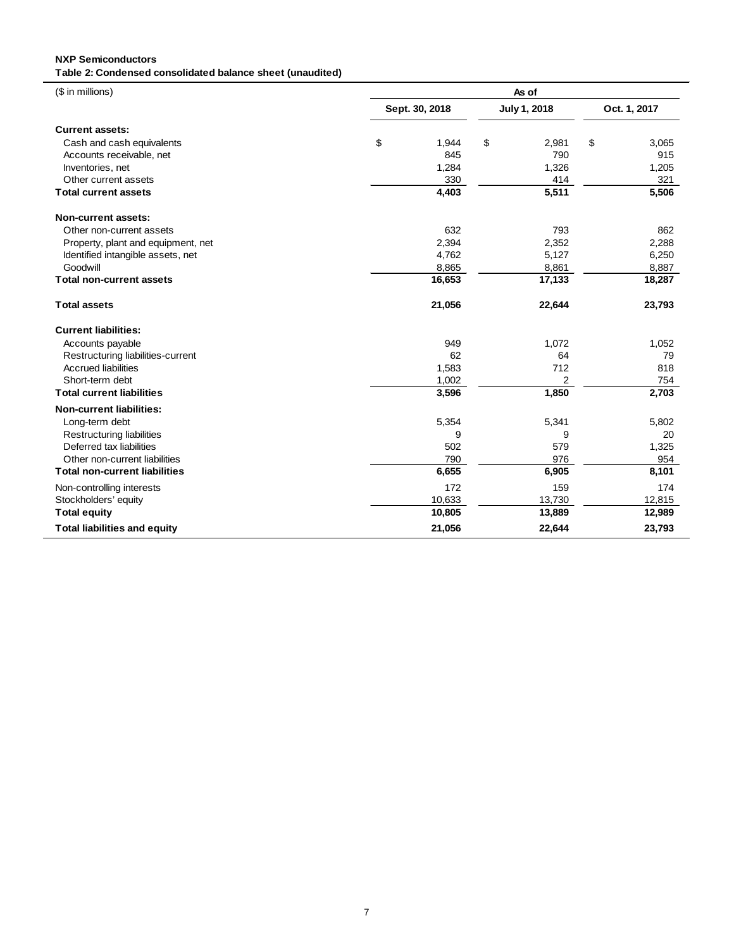### **NXP Semiconductors Table 2: Condensed consolidated balance sheet (unaudited)**

| (\$ in millions)                     | As of          |              |                       |  |  |  |  |  |
|--------------------------------------|----------------|--------------|-----------------------|--|--|--|--|--|
|                                      | Sept. 30, 2018 | July 1, 2018 | Oct. 1, 2017          |  |  |  |  |  |
| <b>Current assets:</b>               |                |              |                       |  |  |  |  |  |
| Cash and cash equivalents            | \$<br>1,944    | \$           | \$<br>2,981<br>3,065  |  |  |  |  |  |
| Accounts receivable, net             |                | 845          | 790<br>915            |  |  |  |  |  |
| Inventories, net                     | 1,284          |              | 1,326<br>1,205        |  |  |  |  |  |
| Other current assets                 |                | 330          | 414<br>321            |  |  |  |  |  |
| <b>Total current assets</b>          | 4,403          |              | 5,511<br>5,506        |  |  |  |  |  |
| Non-current assets:                  |                |              |                       |  |  |  |  |  |
| Other non-current assets             |                | 632          | 793<br>862            |  |  |  |  |  |
| Property, plant and equipment, net   | 2,394          |              | 2,352<br>2,288        |  |  |  |  |  |
| Identified intangible assets, net    | 4,762          |              | 5,127<br>6,250        |  |  |  |  |  |
| Goodwill                             | 8,865          |              | 8,861<br>8,887        |  |  |  |  |  |
| <b>Total non-current assets</b>      | 16,653         |              | 17,133<br>18,287      |  |  |  |  |  |
| <b>Total assets</b>                  | 21,056         |              | 22,644<br>23,793      |  |  |  |  |  |
| <b>Current liabilities:</b>          |                |              |                       |  |  |  |  |  |
| Accounts payable                     |                | 949          | 1,052<br>1,072        |  |  |  |  |  |
| Restructuring liabilities-current    |                | 62           | 64<br>79              |  |  |  |  |  |
| <b>Accrued liabilities</b>           | 1,583          |              | 712<br>818            |  |  |  |  |  |
| Short-term debt                      | 1,002          |              | $\overline{2}$<br>754 |  |  |  |  |  |
| <b>Total current liabilities</b>     | 3,596          |              | 1,850<br>2,703        |  |  |  |  |  |
| <b>Non-current liabilities:</b>      |                |              |                       |  |  |  |  |  |
| Long-term debt                       | 5,354          |              | 5,341<br>5,802        |  |  |  |  |  |
| <b>Restructuring liabilities</b>     |                | 9            | 9<br>20               |  |  |  |  |  |
| Deferred tax liabilities             |                | 502          | 1,325<br>579          |  |  |  |  |  |
| Other non-current liabilities        |                | 790          | 976<br>954            |  |  |  |  |  |
| <b>Total non-current liabilities</b> | 6,655          |              | 6,905<br>8,101        |  |  |  |  |  |
| Non-controlling interests            |                | 172          | 159<br>174            |  |  |  |  |  |
| Stockholders' equity                 | 10,633         |              | 13,730<br>12,815      |  |  |  |  |  |
| <b>Total equity</b>                  | 10,805         |              | 13,889<br>12,989      |  |  |  |  |  |
| <b>Total liabilities and equity</b>  | 21,056         |              | 22,644<br>23,793      |  |  |  |  |  |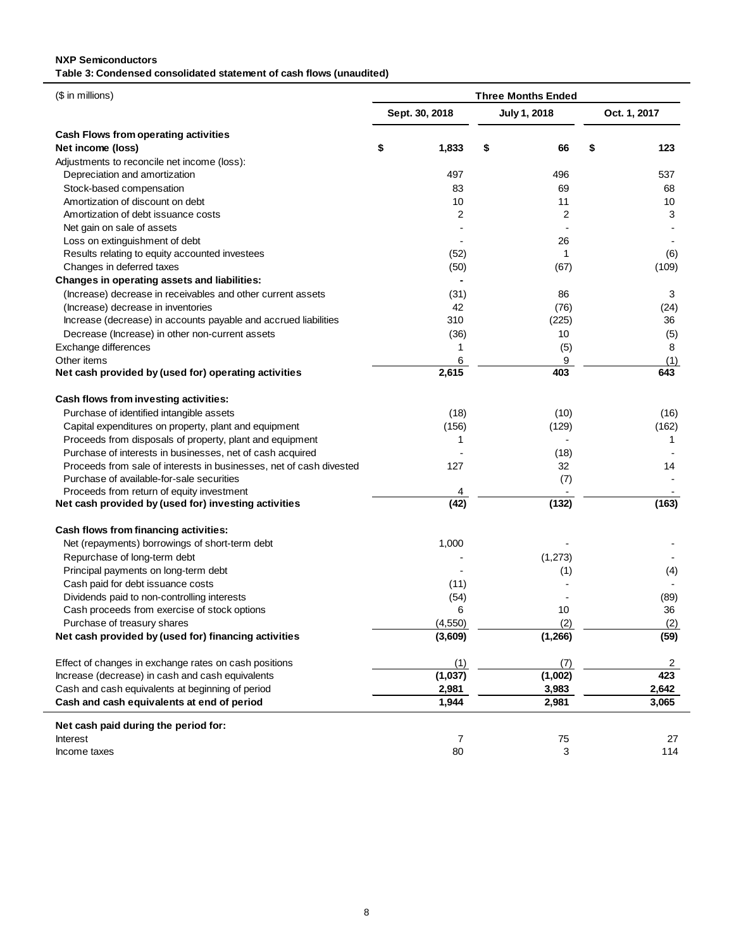### **NXP Semiconductors Table 3: Condensed consolidated statement of cash flows (unaudited)**

| (\$ in millions)                                                    | <b>Three Months Ended</b> |                |    |              |              |                |  |  |
|---------------------------------------------------------------------|---------------------------|----------------|----|--------------|--------------|----------------|--|--|
|                                                                     |                           | Sept. 30, 2018 |    | July 1, 2018 | Oct. 1, 2017 |                |  |  |
| Cash Flows from operating activities                                |                           |                |    |              |              |                |  |  |
| Net income (loss)                                                   | \$                        | 1,833          | \$ | 66           | \$           | 123            |  |  |
| Adjustments to reconcile net income (loss):                         |                           |                |    |              |              |                |  |  |
| Depreciation and amortization                                       |                           | 497            |    | 496          |              | 537            |  |  |
| Stock-based compensation                                            |                           | 83             |    | 69           |              | 68             |  |  |
| Amortization of discount on debt                                    |                           | 10             |    | 11           |              | 10             |  |  |
| Amortization of debt issuance costs                                 |                           | 2              |    | 2            |              | 3              |  |  |
| Net gain on sale of assets                                          |                           |                |    |              |              |                |  |  |
| Loss on extinguishment of debt                                      |                           |                |    | 26           |              |                |  |  |
| Results relating to equity accounted investees                      |                           | (52)           |    | 1            |              | (6)            |  |  |
| Changes in deferred taxes                                           |                           | (50)           |    | (67)         |              | (109)          |  |  |
| Changes in operating assets and liabilities:                        |                           |                |    |              |              |                |  |  |
| (Increase) decrease in receivables and other current assets         |                           | (31)           |    | 86           |              | 3              |  |  |
| (Increase) decrease in inventories                                  |                           | 42             |    | (76)         |              | (24)           |  |  |
| Increase (decrease) in accounts payable and accrued liabilities     |                           | 310            |    | (225)        |              | 36             |  |  |
| Decrease (Increase) in other non-current assets                     |                           | (36)           |    | 10           |              | (5)            |  |  |
| Exchange differences                                                |                           | 1              |    | (5)          |              | 8              |  |  |
| Other items                                                         |                           | 6              |    | 9            |              | (1)            |  |  |
| Net cash provided by (used for) operating activities                |                           | 2,615          |    | 403          |              | 643            |  |  |
|                                                                     |                           |                |    |              |              |                |  |  |
| Cash flows from investing activities:                               |                           |                |    |              |              |                |  |  |
| Purchase of identified intangible assets                            |                           | (18)           |    | (10)         |              | (16)           |  |  |
| Capital expenditures on property, plant and equipment               |                           | (156)          |    | (129)        |              | (162)          |  |  |
| Proceeds from disposals of property, plant and equipment            |                           | 1              |    |              |              | 1              |  |  |
| Purchase of interests in businesses, net of cash acquired           |                           |                |    | (18)         |              |                |  |  |
| Proceeds from sale of interests in businesses, net of cash divested |                           | 127            |    | 32           |              | 14             |  |  |
| Purchase of available-for-sale securities                           |                           |                |    | (7)          |              |                |  |  |
| Proceeds from return of equity investment                           |                           | 4              |    |              |              |                |  |  |
| Net cash provided by (used for) investing activities                |                           | (42)           |    | (132)        |              | (163)          |  |  |
| Cash flows from financing activities:                               |                           |                |    |              |              |                |  |  |
| Net (repayments) borrowings of short-term debt                      |                           | 1,000          |    |              |              |                |  |  |
| Repurchase of long-term debt                                        |                           |                |    | (1, 273)     |              |                |  |  |
| Principal payments on long-term debt                                |                           |                |    | (1)          |              | (4)            |  |  |
| Cash paid for debt issuance costs                                   |                           | (11)           |    |              |              |                |  |  |
| Dividends paid to non-controlling interests                         |                           | (54)           |    |              |              | (89)           |  |  |
| Cash proceeds from exercise of stock options                        |                           | 6              |    | 10           |              | 36             |  |  |
| Purchase of treasury shares                                         |                           | (4, 550)       |    | (2)          |              | (2)            |  |  |
| Net cash provided by (used for) financing activities                |                           | (3,609)        |    | (1, 266)     |              | (59)           |  |  |
| Effect of changes in exchange rates on cash positions               |                           | (1)            |    | (7)          |              | $\overline{2}$ |  |  |
| Increase (decrease) in cash and cash equivalents                    |                           | (1,037)        |    | (1,002)      |              | 423            |  |  |
| Cash and cash equivalents at beginning of period                    |                           | 2,981          |    | 3,983        |              | 2,642          |  |  |
| Cash and cash equivalents at end of period                          |                           | 1,944          |    | 2,981        |              | 3,065          |  |  |
| Net cash paid during the period for:                                |                           |                |    |              |              |                |  |  |
| Interest                                                            |                           | 7              |    | 75           |              | 27             |  |  |
| Income taxes                                                        |                           | 80             |    | 3            |              | 114            |  |  |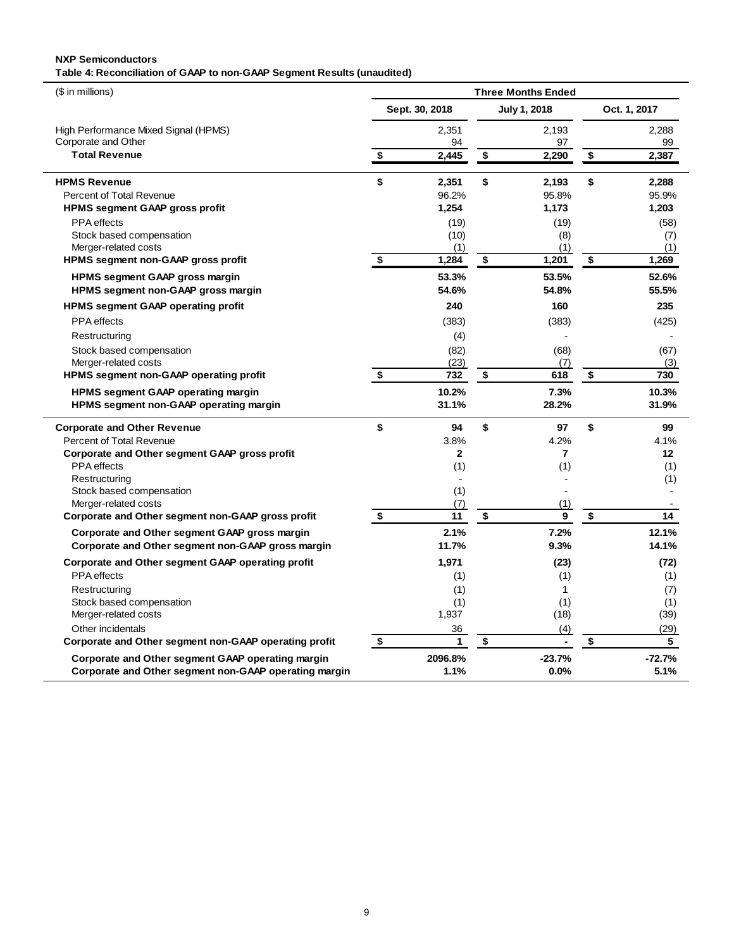### **NXP Semiconductors Table 4: Reconciliation of GAAP to non-GAAP Segment Results (unaudited)**

| (\$ in millions)                                      | <b>Three Months Ended</b>            |                |    |                     |                      |              |  |  |
|-------------------------------------------------------|--------------------------------------|----------------|----|---------------------|----------------------|--------------|--|--|
|                                                       |                                      | Sept. 30, 2018 |    | <b>July 1, 2018</b> |                      | Oct. 1, 2017 |  |  |
| High Performance Mixed Signal (HPMS)                  |                                      | 2,351          |    | 2,193               |                      | 2,288        |  |  |
| Corporate and Other                                   |                                      | 94             |    | 97                  |                      | 99           |  |  |
| <b>Total Revenue</b>                                  | \$                                   | 2,445          | \$ | 2,290               | \$                   | 2,387        |  |  |
| <b>HPMS Revenue</b>                                   | \$                                   | 2,351          | \$ | 2,193               | \$                   | 2,288        |  |  |
| Percent of Total Revenue                              |                                      | 96.2%          |    | 95.8%               |                      | 95.9%        |  |  |
| <b>HPMS segment GAAP gross profit</b>                 |                                      | 1,254          |    | 1,173               |                      | 1,203        |  |  |
| <b>PPA</b> effects                                    |                                      | (19)           |    | (19)                |                      | (58)         |  |  |
| Stock based compensation                              |                                      | (10)           |    | (8)                 |                      | (7)          |  |  |
| Merger-related costs                                  |                                      | (1)            |    | (1)                 |                      | (1)          |  |  |
| <b>HPMS segment non-GAAP gross profit</b>             | $\sqrt[6]{2}$                        | 1,284          | \$ | 1,201               | \$                   | 1,269        |  |  |
| HPMS segment GAAP gross margin                        |                                      | 53.3%          |    | 53.5%               |                      | 52.6%        |  |  |
| HPMS segment non-GAAP gross margin                    |                                      | 54.6%          |    | 54.8%               |                      | 55.5%        |  |  |
| <b>HPMS segment GAAP operating profit</b>             |                                      | 240            |    | 160                 |                      | 235          |  |  |
| <b>PPA</b> effects                                    |                                      | (383)          |    | (383)               |                      | (425)        |  |  |
| Restructuring                                         |                                      | (4)            |    |                     |                      |              |  |  |
| Stock based compensation                              |                                      | (82)           |    | (68)                |                      | (67)         |  |  |
| Merger-related costs                                  |                                      | (23)           |    | (7)                 |                      | (3)          |  |  |
| <b>HPMS segment non-GAAP operating profit</b>         | $\overline{\boldsymbol{\mathsf{s}}}$ | 732            | \$ | 618                 | \$                   | 730          |  |  |
| <b>HPMS</b> segment GAAP operating margin             |                                      | 10.2%          |    | 7.3%                |                      | 10.3%        |  |  |
| HPMS segment non-GAAP operating margin                |                                      | 31.1%          |    | 28.2%               |                      | 31.9%        |  |  |
| <b>Corporate and Other Revenue</b>                    | \$                                   | 94             | \$ | 97                  | \$                   | 99           |  |  |
| Percent of Total Revenue                              |                                      | 3.8%           |    | 4.2%                |                      | 4.1%         |  |  |
| Corporate and Other segment GAAP gross profit         |                                      | $\mathbf{2}$   |    | $\overline{7}$      |                      | $12 \,$      |  |  |
| <b>PPA</b> effects                                    |                                      | (1)            |    | (1)                 |                      | (1)          |  |  |
| Restructuring                                         |                                      |                |    |                     |                      | (1)          |  |  |
| Stock based compensation<br>Merger-related costs      |                                      | (1)<br>(7)     |    | (1)                 |                      |              |  |  |
| Corporate and Other segment non-GAAP gross profit     | \$                                   | 11             | \$ | 9                   | $\overline{\bullet}$ | 14           |  |  |
| Corporate and Other segment GAAP gross margin         |                                      | 2.1%           |    | 7.2%                |                      | 12.1%        |  |  |
| Corporate and Other segment non-GAAP gross margin     |                                      | 11.7%          |    | 9.3%                |                      | 14.1%        |  |  |
| Corporate and Other segment GAAP operating profit     |                                      | 1,971          |    | (23)                |                      | (72)         |  |  |
| <b>PPA</b> effects                                    |                                      | (1)            |    | (1)                 |                      | (1)          |  |  |
| Restructuring                                         |                                      | (1)            |    | $\mathbf{1}$        |                      | (7)          |  |  |
| Stock based compensation                              |                                      | (1)            |    | (1)                 |                      | (1)          |  |  |
| Merger-related costs                                  |                                      | 1,937          |    | (18)                |                      | (39)         |  |  |
| Other incidentals                                     |                                      | 36             |    | (4)                 |                      | (29)         |  |  |
| Corporate and Other segment non-GAAP operating profit | \$                                   | 1              | \$ |                     | \$                   | 5            |  |  |
| Corporate and Other segment GAAP operating margin     |                                      | 2096.8%        |    | $-23.7%$            |                      | $-72.7%$     |  |  |
| Corporate and Other segment non-GAAP operating margin |                                      | 1.1%           |    | 0.0%                |                      | 5.1%         |  |  |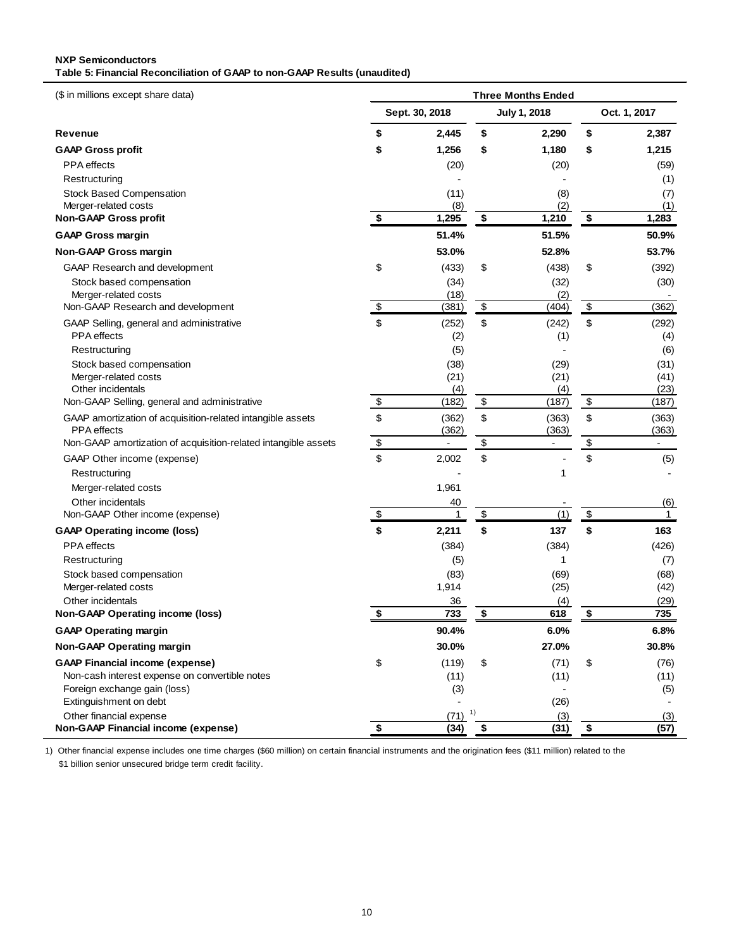### **NXP Semiconductors Table 5: Financial Reconciliation of GAAP to non-GAAP Results (unaudited)**

| (\$ in millions except share data)                                               | <b>Three Months Ended</b> |                    |                     |                |               |                     |  |  |
|----------------------------------------------------------------------------------|---------------------------|--------------------|---------------------|----------------|---------------|---------------------|--|--|
|                                                                                  |                           | Sept. 30, 2018     |                     | July 1, 2018   | Oct. 1, 2017  |                     |  |  |
| Revenue                                                                          | \$                        | 2,445              | \$                  | 2,290          | \$            | 2,387               |  |  |
| <b>GAAP Gross profit</b>                                                         | \$                        | 1,256              | \$                  | 1,180          | \$            | 1,215               |  |  |
| PPA effects                                                                      |                           | (20)               |                     | (20)           |               | (59)                |  |  |
| Restructuring                                                                    |                           | L,                 |                     |                |               | (1)                 |  |  |
| <b>Stock Based Compensation</b>                                                  |                           | (11)               |                     | (8)            |               | (7)                 |  |  |
| Merger-related costs                                                             |                           | (8)                |                     | (2)            |               | (1)                 |  |  |
| <b>Non-GAAP Gross profit</b>                                                     | \$                        | 1,295              | \$                  | 1,210          | \$            | 1,283               |  |  |
| <b>GAAP Gross margin</b>                                                         |                           | 51.4%              |                     | 51.5%          |               | 50.9%               |  |  |
| Non-GAAP Gross margin                                                            |                           | 53.0%              |                     | 52.8%          |               | 53.7%               |  |  |
| GAAP Research and development                                                    | \$                        | (433)              | \$                  | (438)          | \$            | (392)               |  |  |
| Stock based compensation                                                         |                           | (34)               |                     | (32)           |               | (30)                |  |  |
| Merger-related costs                                                             |                           | (18)               |                     | (2)            |               |                     |  |  |
| Non-GAAP Research and development                                                | $\frac{1}{2}$             | (381)              | $\frac{1}{2}$       | (404)          | $\frac{1}{2}$ | (362)               |  |  |
| GAAP Selling, general and administrative                                         | \$                        | (252)              | \$                  | (242)          | \$            | (292)               |  |  |
| PPA effects                                                                      |                           | (2)                |                     | (1)            |               | (4)                 |  |  |
| Restructuring                                                                    |                           | (5)                |                     |                |               | (6)                 |  |  |
| Stock based compensation                                                         |                           | (38)               |                     | (29)           |               | (31)                |  |  |
| Merger-related costs                                                             |                           | (21)               |                     | (21)           |               | (41)                |  |  |
| Other incidentals                                                                |                           | (4)                |                     | (4)            |               | (23)                |  |  |
| Non-GAAP Selling, general and administrative                                     | $\frac{1}{2}$             | (182)              | $\boldsymbol{\$}$   | (187)          | $\frac{1}{2}$ | (187)               |  |  |
| GAAP amortization of acquisition-related intangible assets<br><b>PPA</b> effects | \$                        | (362)<br>(362)     | \$                  | (363)<br>(363) | \$            | (363)<br>(363)      |  |  |
| Non-GAAP amortization of acquisition-related intangible assets                   | $\frac{1}{2}$             |                    | $\pmb{\mathsf{\$}}$ | $\blacksquare$ | $\frac{1}{2}$ | $\blacksquare$      |  |  |
| GAAP Other income (expense)                                                      | \$                        | 2,002              | \$                  |                | \$            | (5)                 |  |  |
| Restructuring                                                                    |                           |                    |                     | 1              |               |                     |  |  |
| Merger-related costs                                                             |                           | 1,961              |                     |                |               |                     |  |  |
| Other incidentals                                                                |                           |                    |                     |                |               |                     |  |  |
| Non-GAAP Other income (expense)                                                  | $\frac{1}{2}$             | 40<br>$\mathbf{1}$ | $\frac{1}{2}$       | (1)            | $\frac{1}{2}$ | (6)<br>$\mathbf{1}$ |  |  |
|                                                                                  | \$                        |                    | \$                  | 137            |               | 163                 |  |  |
| <b>GAAP Operating income (loss)</b><br><b>PPA</b> effects                        |                           | 2,211              |                     |                | \$            |                     |  |  |
|                                                                                  |                           | (384)              |                     | (384)          |               | (426)               |  |  |
| Restructuring                                                                    |                           | (5)                |                     | 1              |               | (7)                 |  |  |
| Stock based compensation                                                         |                           | (83)               |                     | (69)           |               | (68)                |  |  |
| Merger-related costs                                                             |                           | 1,914              |                     | (25)           |               | (42)                |  |  |
| Other incidentals<br>Non-GAAP Operating income (loss)                            | \$                        | 36<br>733          |                     | (4)<br>618     | \$            | (29)<br>735         |  |  |
|                                                                                  |                           |                    | \$                  |                |               |                     |  |  |
| <b>GAAP Operating margin</b>                                                     |                           | 90.4%              |                     | 6.0%           |               | 6.8%                |  |  |
| Non-GAAP Operating margin                                                        |                           | 30.0%              |                     | 27.0%          |               | 30.8%               |  |  |
| <b>GAAP Financial income (expense)</b>                                           | \$                        | (119)              | \$                  | (71)           | \$            | (76)                |  |  |
| Non-cash interest expense on convertible notes                                   |                           | (11)               |                     | (11)           |               | (11)                |  |  |
| Foreign exchange gain (loss)                                                     |                           | (3)                |                     | $\blacksquare$ |               | (5)                 |  |  |
| Extinguishment on debt                                                           |                           |                    | 1)                  | (26)           |               |                     |  |  |
| Other financial expense                                                          |                           | (71)               |                     | (3)            |               | (3)                 |  |  |
| Non-GAAP Financial income (expense)                                              | \$                        | (34)               | $\pmb{\$}$          | (31)           | $\frac{1}{2}$ | (57)                |  |  |

 \$1 billion senior unsecured bridge term credit facility. 1) Other financial expense includes one time charges (\$60 million) on certain financial instruments and the origination fees (\$11 million) related to the